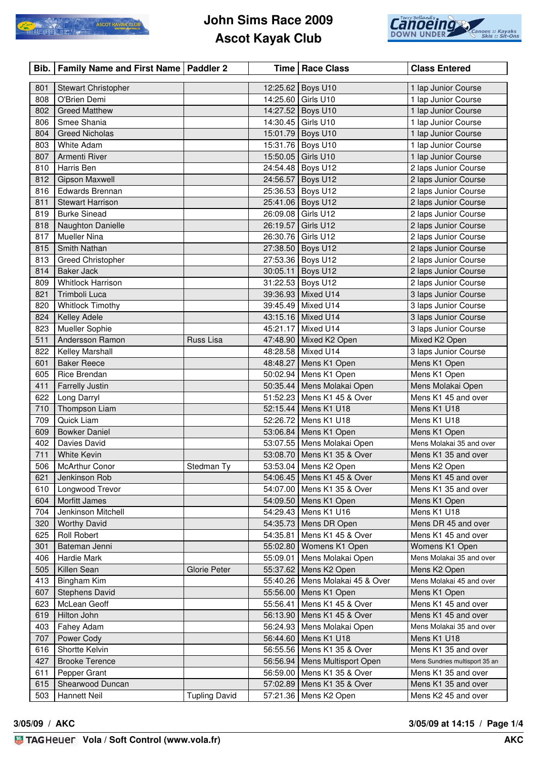

## **John Sims Race 2009 Ascot Kayak Club**



| Bib.       | Family Name and First Name   Paddler 2     |                      |          | Time   Race Class                 | <b>Class Entered</b>           |
|------------|--------------------------------------------|----------------------|----------|-----------------------------------|--------------------------------|
|            |                                            |                      |          |                                   | 1 lap Junior Course            |
| 801<br>808 | <b>Stewart Christopher</b><br>O'Brien Demi |                      | 14:25.60 | 12:25.62 Boys U10<br>Girls U10    | 1 lap Junior Course            |
| 802        | <b>Greed Matthew</b>                       |                      |          | 14:27.52 Boys U10                 | 1 lap Junior Course            |
| 806        | Smee Shania                                |                      |          | 14:30.45   Girls U10              | 1 lap Junior Course            |
| 804        | <b>Greed Nicholas</b>                      |                      |          | 15:01.79 Boys U10                 | 1 lap Junior Course            |
| 803        | <b>White Adam</b>                          |                      | 15:31.76 |                                   |                                |
| 807        | Armenti River                              |                      |          | Boys U10<br>Girls U10             | 1 lap Junior Course            |
|            |                                            |                      | 15:50.05 |                                   | 1 lap Junior Course            |
| 810        | Harris Ben                                 |                      | 24:54.48 | Boys U12                          | 2 laps Junior Course           |
| 812        | <b>Gipson Maxwell</b>                      |                      | 24:56.57 | Boys U12                          | 2 laps Junior Course           |
| 816        | <b>Edwards Brennan</b>                     |                      | 25:36.53 | Boys U12                          | 2 laps Junior Course           |
| 811        | <b>Stewart Harrison</b>                    |                      |          | 25:41.06   Boys U12               | 2 laps Junior Course           |
| 819        | <b>Burke Sinead</b>                        |                      |          | 26:09.08   Girls U12              | 2 laps Junior Course           |
| 818        | Naughton Danielle                          |                      | 26:19.57 | Girls U12                         | 2 laps Junior Course           |
| 817        | Mueller Nina                               |                      |          | 26:30.76 Girls U12                | 2 laps Junior Course           |
| 815        | Smith Nathan                               |                      |          | 27:38.50 Boys U12                 | 2 laps Junior Course           |
| 813        | <b>Greed Christopher</b>                   |                      |          | 27:53.36 Boys U12                 | 2 laps Junior Course           |
| 814        | <b>Baker Jack</b>                          |                      | 30:05.11 | Boys U12                          | 2 laps Junior Course           |
| 809        | <b>Whitlock Harrison</b>                   |                      |          | 31:22.53 Boys U12                 | 2 laps Junior Course           |
| 821        | Trimboli Luca                              |                      |          | 39:36.93   Mixed U14              | 3 laps Junior Course           |
| 820        | <b>Whitlock Timothy</b>                    |                      |          | 39:45.49   Mixed U14              | 3 laps Junior Course           |
| 824        | Kelley Adele                               |                      |          | 43:15.16 Mixed U14                | 3 laps Junior Course           |
| 823        | Mueller Sophie                             |                      |          | 45:21.17 Mixed U14                | 3 laps Junior Course           |
| 511        | Andersson Ramon                            | Russ Lisa            |          | 47:48.90 Mixed K2 Open            | Mixed K2 Open                  |
| 822        | Kelley Marshall                            |                      |          | 48:28.58   Mixed U14              | 3 laps Junior Course           |
| 601        | <b>Baker Reece</b>                         |                      | 48:48.27 | Mens K1 Open                      | Mens K1 Open                   |
| 605        | Rice Brendan                               |                      |          | 50:02.94   Mens K1 Open           | Mens K1 Open                   |
| 411        | <b>Farrelly Justin</b>                     |                      |          | 50:35.44   Mens Molakai Open      | Mens Molakai Open              |
| 622        | Long Darryl                                |                      |          | 51:52.23   Mens K1 45 & Over      | Mens K1 45 and over            |
| 710        | Thompson Liam                              |                      | 52:15.44 | Mens K1 U18                       | Mens K1 U18                    |
| 709        | Quick Liam                                 |                      |          | 52:26.72 Mens K1 U18              | Mens K1 U18                    |
| 609        | <b>Bowker Daniel</b>                       |                      |          | 53:06.84   Mens K1 Open           | Mens K1 Open                   |
| 402        | Davies David                               |                      |          | 53:07.55   Mens Molakai Open      | Mens Molakai 35 and over       |
| 711        | <b>White Kevin</b>                         |                      |          | 53:08.70   Mens K1 35 & Over      | Mens K1 35 and over            |
| 506        | McArthur Conor                             | Stedman Ty           |          | 53:53.04   Mens K2 Open           | Mens K2 Open                   |
| 621        | Jenkinson Rob                              |                      |          | 54:06.45   Mens K1 45 & Over      | Mens K1 45 and over            |
| 610        | Longwood Trevor                            |                      |          | 54:07.00   Mens K1 35 & Over      | Mens K1 35 and over            |
| 604        | Morfitt James                              |                      |          | 54:09.50   Mens K1 Open           | Mens K1 Open                   |
| 704        | Jenkinson Mitchell                         |                      |          | 54:29.43   Mens K1 U16            | Mens K1 U18                    |
| 320        | <b>Worthy David</b>                        |                      |          | 54:35.73   Mens DR Open           | Mens DR 45 and over            |
| 625        | <b>Roll Robert</b>                         |                      | 54:35.81 | Mens K1 45 & Over                 | Mens K1 45 and over            |
| 301        | Bateman Jenni                              |                      |          | 55:02.80   Womens K1 Open         | Womens K1 Open                 |
| 406        | Hardie Mark                                |                      |          | 55:09.01   Mens Molakai Open      | Mens Molakai 35 and over       |
| 505        | Killen Sean                                | Glorie Peter         |          | 55:37.62 Mens K2 Open             | Mens K2 Open                   |
| 413        | Bingham Kim                                |                      |          | 55:40.26   Mens Molakai 45 & Over | Mens Molakai 45 and over       |
| 607        | <b>Stephens David</b>                      |                      |          | 55:56.00   Mens K1 Open           | Mens K1 Open                   |
| 623        | McLean Geoff                               |                      | 55:56.41 | Mens K1 45 & Over                 | Mens K1 45 and over            |
| 619        | Hilton John                                |                      |          | 56:13.90   Mens K1 45 & Over      | Mens K1 45 and over            |
| 403        | Fahey Adam                                 |                      |          | 56:24.93   Mens Molakai Open      | Mens Molakai 35 and over       |
| 707        | Power Cody                                 |                      |          | 56:44.60   Mens K1 U18            | Mens K1 U18                    |
| 616        | Shortte Kelvin                             |                      |          | 56:55.56   Mens K1 35 & Over      | Mens K1 35 and over            |
| 427        | <b>Brooke Terence</b>                      |                      |          | 56:56.94   Mens Multisport Open   | Mens Sundries multisport 35 an |
| 611        | Pepper Grant                               |                      |          | 56:59.00   Mens K1 35 & Over      | Mens K1 35 and over            |
| 615        | Shearwood Duncan                           |                      | 57:02.89 | Mens K1 35 & Over                 | Mens K1 35 and over            |
| 503        | <b>Hannett Neil</b>                        | <b>Tupling David</b> | 57:21.36 | Mens K2 Open                      | Mens K2 45 and over            |

**3/05/09 / AKC 3/05/09 at 14:15 / Page 1/4**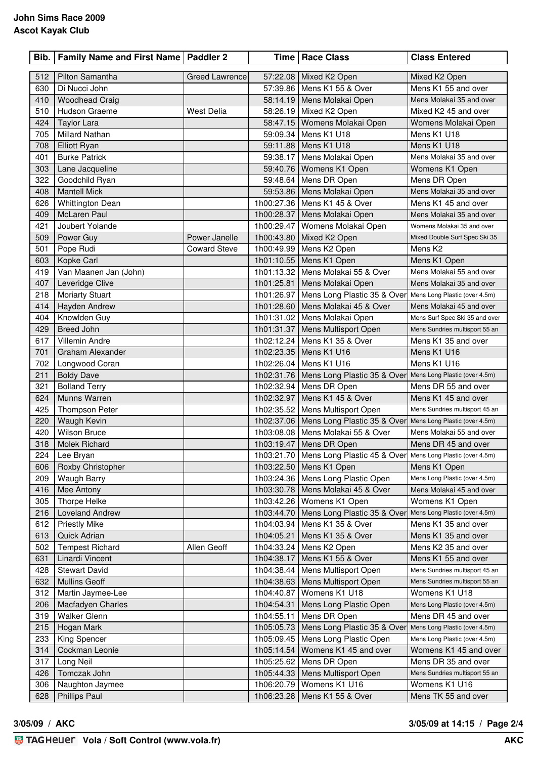## **John Sims Race 2009 Ascot Kayak Club**

| Bib.       | Family Name and First Name   Paddler 2 |                       |            | Time   Race Class                                                                                             | <b>Class Entered</b>                                  |
|------------|----------------------------------------|-----------------------|------------|---------------------------------------------------------------------------------------------------------------|-------------------------------------------------------|
| 512        | Pilton Samantha                        | <b>Greed Lawrence</b> |            | 57:22.08 Mixed K2 Open                                                                                        | Mixed K2 Open                                         |
| 630        | Di Nucci John                          |                       |            | 57:39.86   Mens K1 55 & Over                                                                                  | Mens K1 55 and over                                   |
| 410        | <b>Woodhead Craig</b>                  |                       |            | 58:14.19   Mens Molakai Open                                                                                  | Mens Molakai 35 and over                              |
| 510        | Hudson Graeme                          | <b>West Delia</b>     |            | 58:26.19 Mixed K2 Open                                                                                        | Mixed K2 45 and over                                  |
| 424        | <b>Taylor Lara</b>                     |                       |            | 58:47.15   Womens Molakai Open                                                                                | Womens Molakai Open                                   |
| 705        | <b>Millard Nathan</b>                  |                       |            | 59:09.34   Mens K1 U18                                                                                        | Mens K1 U18                                           |
| 708        | <b>Elliott Ryan</b>                    |                       |            | 59:11.88   Mens K1 U18                                                                                        | Mens K1 U18                                           |
| 401        | <b>Burke Patrick</b>                   |                       | 59:38.17   | Mens Molakai Open                                                                                             | Mens Molakai 35 and over                              |
| 303        | Lane Jacqueline                        |                       |            | 59:40.76   Womens K1 Open                                                                                     | Womens K1 Open                                        |
| 322        | Goodchild Ryan                         |                       | 59:48.64   | Mens DR Open                                                                                                  | Mens DR Open                                          |
| 408        | <b>Mantell Mick</b>                    |                       |            | 59:53.86   Mens Molakai Open                                                                                  | Mens Molakai 35 and over                              |
| 626        | <b>Whittington Dean</b>                |                       |            | 1h00:27.36   Mens K1 45 & Over                                                                                | Mens K1 45 and over                                   |
| 409        | McLaren Paul                           |                       |            | 1h00:28.37   Mens Molakai Open                                                                                | Mens Molakai 35 and over                              |
| 421        | Joubert Yolande                        |                       | 1h00:29.47 | Womens Molakai Open                                                                                           | Womens Molakai 35 and over                            |
| 509        | Power Guy                              | Power Janelle         |            | 1h00:43.80   Mixed K2 Open                                                                                    | Mixed Double Surf Spec Ski 35                         |
| 501        | Pope Rudi                              | <b>Coward Steve</b>   |            | 1h00:49.99   Mens K2 Open                                                                                     | Mens K <sub>2</sub>                                   |
| 603        | Kopke Carl                             |                       |            | 1h01:10.55   Mens K1 Open                                                                                     | Mens K1 Open                                          |
| 419        | Van Maanen Jan (John)                  |                       |            | 1h01:13.32   Mens Molakai 55 & Over                                                                           | Mens Molakai 55 and over                              |
| 407        | Leveridge Clive                        |                       |            | 1h01:25.81   Mens Molakai Open                                                                                | Mens Molakai 35 and over                              |
| 218        | Moriarty Stuart                        |                       |            | 1h01:26.97   Mens Long Plastic 35 & Over                                                                      | Mens Long Plastic (over 4.5m)                         |
| 414        | Hayden Andrew                          |                       |            | 1h01:28.60   Mens Molakai 45 & Over                                                                           | Mens Molakai 45 and over                              |
| 404        | Knowlden Guy                           |                       |            | 1h01:31.02 Mens Molakai Open                                                                                  | Mens Surf Spec Ski 35 and over                        |
| 429        | Breed John                             |                       |            | 1h01:31.37   Mens Multisport Open                                                                             | Mens Sundries multisport 55 an                        |
| 617        | Villemin Andre                         |                       |            | 1h02:12.24   Mens K1 35 & Over                                                                                | Mens K1 35 and over                                   |
| 701        | Graham Alexander                       |                       |            | 1h02:23.35   Mens K1 U16                                                                                      | Mens K1 U16                                           |
| 702        | Longwood Coran                         |                       | 1h02:26.04 | Mens K1 U16                                                                                                   | Mens K1 U16                                           |
| 211        | <b>Boldy Dave</b>                      |                       |            | 1h02:31.76   Mens Long Plastic 35 & Over                                                                      | Mens Long Plastic (over 4.5m)                         |
| 321        | <b>Bolland Terry</b><br>Munns Warren   |                       |            | 1h02:32.94   Mens DR Open                                                                                     | Mens DR 55 and over                                   |
| 624        |                                        |                       |            | 1h02:32.97   Mens K1 45 & Over                                                                                | Mens K1 45 and over<br>Mens Sundries multisport 45 an |
| 425<br>220 | <b>Thompson Peter</b><br>Waugh Kevin   |                       |            | 1h02:35.52   Mens Multisport Open<br>1h02:37.06   Mens Long Plastic 35 & Over   Mens Long Plastic (over 4.5m) |                                                       |
| 420        | <b>Wilson Bruce</b>                    |                       |            | 1h03:08.08   Mens Molakai 55 & Over                                                                           | Mens Molakai 55 and over                              |
| 318        | <b>Molek Richard</b>                   |                       |            | 1h03:19.47   Mens DR Open                                                                                     | Mens DR 45 and over                                   |
| 224        | Lee Bryan                              |                       |            | 1h03:21.70   Mens Long Plastic 45 & Over  Mens Long Plastic (over 4.5m)                                       |                                                       |
| 606        | Roxby Christopher                      |                       |            | 1h03:22.50   Mens K1 Open                                                                                     | Mens K1 Open                                          |
| 209        | <b>Waugh Barry</b>                     |                       |            | 1h03:24.36   Mens Long Plastic Open                                                                           | Mens Long Plastic (over 4.5m)                         |
| 416        | Mee Antony                             |                       |            | 1h03:30.78   Mens Molakai 45 & Over                                                                           | Mens Molakai 45 and over                              |
| 305        | Thorpe Helke                           |                       |            | 1h03:42.26   Womens K1 Open                                                                                   | Womens K1 Open                                        |
| 216        | <b>Loveland Andrew</b>                 |                       |            | 1h03:44.70   Mens Long Plastic 35 & Over                                                                      | Mens Long Plastic (over 4.5m)                         |
| 612        | <b>Priestly Mike</b>                   |                       | 1h04:03.94 | Mens K1 35 & Over                                                                                             | Mens K1 35 and over                                   |
| 613        | Quick Adrian                           |                       | 1h04:05.21 | Mens K1 35 & Over                                                                                             | Mens K1 35 and over                                   |
| 502        | <b>Tempest Richard</b>                 | Allen Geoff           | 1h04:33.24 | Mens K2 Open                                                                                                  | Mens K2 35 and over                                   |
| 631        | Linardi Vincent                        |                       | 1h04:38.17 | Mens K1 55 & Over                                                                                             | Mens K1 55 and over                                   |
| 428        | <b>Stewart David</b>                   |                       | 1h04:38.44 | Mens Multisport Open                                                                                          | Mens Sundries multisport 45 an                        |
| 632        | <b>Mullins Geoff</b>                   |                       | 1h04:38.63 | Mens Multisport Open                                                                                          | Mens Sundries multisport 55 an                        |
| 312        | Martin Jaymee-Lee                      |                       | 1h04:40.87 | Womens K1 U18                                                                                                 | Womens K1 U18                                         |
| 206        | Macfadyen Charles                      |                       | 1h04:54.31 | Mens Long Plastic Open                                                                                        | Mens Long Plastic (over 4.5m)                         |
| 319        | <b>Walker Glenn</b>                    |                       |            | 1h04:55.11   Mens DR Open                                                                                     | Mens DR 45 and over                                   |
| 215        | Hogan Mark                             |                       | 1h05:05.73 | Mens Long Plastic 35 & Over                                                                                   | Mens Long Plastic (over 4.5m)                         |
| 233        | King Spencer                           |                       | 1h05:09.45 | Mens Long Plastic Open                                                                                        | Mens Long Plastic (over 4.5m)                         |
| 314        | Cockman Leonie                         |                       | 1h05:14.54 | Womens K1 45 and over                                                                                         | Womens K1 45 and over                                 |
| 317        | Long Neil                              |                       | 1h05:25.62 | Mens DR Open                                                                                                  | Mens DR 35 and over                                   |
| 426        | Tomczak John                           |                       |            | 1h05:44.33   Mens Multisport Open                                                                             | Mens Sundries multisport 55 an                        |
| 306        | Naughton Jaymee                        |                       | 1h06:20.79 | Womens K1 U16                                                                                                 | Womens K1 U16                                         |
| 628        | <b>Phillips Paul</b>                   |                       | 1h06:23.28 | Mens K1 55 & Over                                                                                             | Mens TK 55 and over                                   |

**3/05/09 / AKC 3/05/09 at 14:15 / Page 2/4**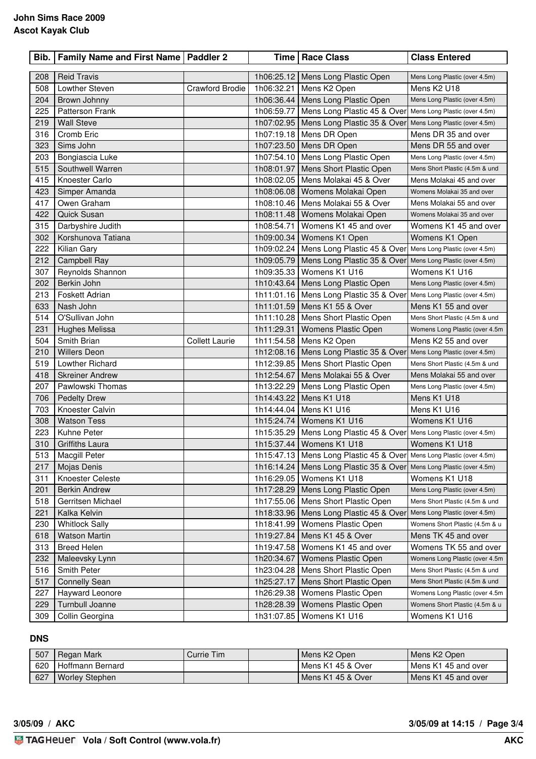| Bib.       | <b>Family Name and First Name   Paddler 2</b> |                        |            | Time   Race Class                                                       | <b>Class Entered</b>                         |
|------------|-----------------------------------------------|------------------------|------------|-------------------------------------------------------------------------|----------------------------------------------|
|            |                                               |                        |            |                                                                         |                                              |
| 208<br>508 | <b>Reid Travis</b><br>Lowther Steven          | <b>Crawford Brodie</b> | 1h06:32.21 | 1h06:25.12   Mens Long Plastic Open<br>Mens K2 Open                     | Mens Long Plastic (over 4.5m)<br>Mens K2 U18 |
| 204        | Brown Johnny                                  |                        |            | 1h06:36.44   Mens Long Plastic Open                                     | Mens Long Plastic (over 4.5m)                |
| 225        | <b>Patterson Frank</b>                        |                        |            | 1h06:59.77   Mens Long Plastic 45 & Over Mens Long Plastic (over 4.5m)  |                                              |
| 219        | <b>Wall Steve</b>                             |                        |            | 1h07:02.95   Mens Long Plastic 35 & Over  Mens Long Plastic (over 4.5m) |                                              |
| 316        | Cromb Eric                                    |                        |            | 1h07:19.18   Mens DR Open                                               | Mens DR 35 and over                          |
| 323        | Sims John                                     |                        |            | 1h07:23.50   Mens DR Open                                               | Mens DR 55 and over                          |
| 203        | Bongiascia Luke                               |                        |            | 1h07:54.10   Mens Long Plastic Open                                     | Mens Long Plastic (over 4.5m)                |
| 515        | Southwell Warren                              |                        | 1h08:01.97 | Mens Short Plastic Open                                                 | Mens Short Plastic (4.5m & und               |
| 415        | Knoester Carlo                                |                        |            | 1h08:02.05   Mens Molakai 45 & Over                                     | Mens Molakai 45 and over                     |
| 423        | Simper Amanda                                 |                        | 1h08:06.08 | Womens Molakai Open                                                     | Womens Molakai 35 and over                   |
| 417        | Owen Graham                                   |                        |            | 1h08:10.46   Mens Molakai 55 & Over                                     | Mens Molakai 55 and over                     |
| 422        | <b>Quick Susan</b>                            |                        | 1h08:11.48 | Womens Molakai Open                                                     | Womens Molakai 35 and over                   |
| 315        | Darbyshire Judith                             |                        | 1h08:54.71 | Womens K1 45 and over                                                   | Womens K1 45 and over                        |
| 302        | Korshunova Tatiana                            |                        | 1h09:00.34 | Womens K1 Open                                                          | Womens K1 Open                               |
| 222        | Kilian Gary                                   |                        |            | 1h09:02.24   Mens Long Plastic 45 & Over  Mens Long Plastic (over 4.5m) |                                              |
| 212        | <b>Campbell Ray</b>                           |                        |            | 1h09:05.79   Mens Long Plastic 35 & Over                                | Mens Long Plastic (over 4.5m)                |
| 307        | Reynolds Shannon                              |                        |            | 1h09:35.33   Womens K1 U16                                              | Womens K1 U16                                |
| 202        | Berkin John                                   |                        |            | 1h10:43.64   Mens Long Plastic Open                                     | Mens Long Plastic (over 4.5m)                |
| 213        | Foskett Adrian                                |                        |            | 1h11:01.16   Mens Long Plastic 35 & Over Mens Long Plastic (over 4.5m)  |                                              |
| 633        | Nash John                                     |                        |            | 1h11:01.59   Mens K1 55 & Over                                          | Mens K1 55 and over                          |
| 514        | O'Sullivan John                               |                        |            | 1h11:10.28   Mens Short Plastic Open                                    | Mens Short Plastic (4.5m & und               |
| 231        | Hughes Melissa                                |                        | 1h11:29.31 | Womens Plastic Open                                                     | Womens Long Plastic (over 4.5m               |
| 504        | Smith Brian                                   | <b>Collett Laurie</b>  |            | 1h11:54.58   Mens K2 Open                                               | Mens K2 55 and over                          |
| 210        | <b>Willers Deon</b>                           |                        |            | 1h12:08.16   Mens Long Plastic 35 & Over                                | Mens Long Plastic (over 4.5m)                |
| 519        | Lowther Richard                               |                        |            | 1h12:39.85   Mens Short Plastic Open                                    | Mens Short Plastic (4.5m & und               |
| 418        | <b>Skreiner Andrew</b>                        |                        | 1h12:54.67 | Mens Molakai 55 & Over                                                  | Mens Molakai 55 and over                     |
| 207        | Pawlowski Thomas                              |                        |            | 1h13:22.29   Mens Long Plastic Open                                     | Mens Long Plastic (over 4.5m)                |
| 706        | <b>Pedelty Drew</b>                           |                        | 1h14:43.22 | Mens K1 U18                                                             | Mens K1 U18                                  |
| 703        | Knoester Calvin                               |                        |            | 1h14:44.04   Mens K1 U16                                                | Mens K1 U16                                  |
| 308        | <b>Watson Tess</b>                            |                        |            | 1h15:24.74   Womens K1 U16                                              | Womens K1 U16                                |
| 223        | Kuhne Peter                                   |                        |            | 1h15:35.29   Mens Long Plastic 45 & Over  Mens Long Plastic (over 4.5m) |                                              |
| 310        | Griffiths Laura                               |                        |            | 1h15:37.44   Womens K1 U18                                              | Womens K1 U18                                |
| 513        | Macgill Peter                                 |                        |            | 1h15:47.13   Mens Long Plastic 45 & Over Mens Long Plastic (over 4.5m)  |                                              |
| 217        | Mojas Denis                                   |                        |            | 1h16:14.24   Mens Long Plastic 35 & Over  Mens Long Plastic (over 4.5m) |                                              |
| 311        | Knoester Celeste                              |                        |            | 1h16:29.05   Womens K1 U18                                              | Womens K1 U18                                |
| 201        | <b>Berkin Andrew</b>                          |                        |            | 1h17:28.29   Mens Long Plastic Open                                     | Mens Long Plastic (over 4.5m)                |
| 518        | Gerritsen Michael                             |                        |            | 1h17:55.06   Mens Short Plastic Open                                    | Mens Short Plastic (4.5m & und               |
| 221        | Kalka Kelvin                                  |                        |            | 1h18:33.96   Mens Long Plastic 45 & Over                                | Mens Long Plastic (over 4.5m)                |
| 230        | <b>Whitlock Sally</b>                         |                        |            | 1h18:41.99   Womens Plastic Open                                        | Womens Short Plastic (4.5m & u               |
| 618        | <b>Watson Martin</b>                          |                        |            | 1h19:27.84   Mens K1 45 & Over                                          | Mens TK 45 and over                          |
| 313        | <b>Breed Helen</b>                            |                        | 1h19:47.58 | Womens K1 45 and over                                                   | Womens TK 55 and over                        |
| 232        | Maleevsky Lynn                                |                        | 1h20:34.67 | Womens Plastic Open                                                     | Womens Long Plastic (over 4.5m               |
| 516        | Smith Peter                                   |                        | 1h23:04.28 | Mens Short Plastic Open                                                 | Mens Short Plastic (4.5m & und               |
| 517        | <b>Connelly Sean</b>                          |                        | 1h25:27.17 | Mens Short Plastic Open                                                 | Mens Short Plastic (4.5m & und               |
| 227        | Hayward Leonore                               |                        |            | 1h26:29.38   Womens Plastic Open                                        | Womens Long Plastic (over 4.5m               |
| 229        | Turnbull Joanne                               |                        | 1h28:28.39 | Womens Plastic Open                                                     | Womens Short Plastic (4.5m & u               |
| 309        | Collin Georgina                               |                        | 1h31:07.85 | Womens K1 U16                                                           | Womens K1 U16                                |

## **DNS**

| 507 | Regan Mark            | Currie Tim | Mens K2 Open      | l Mens K2 Open        |
|-----|-----------------------|------------|-------------------|-----------------------|
| 620 | Hoffmann Bernard      |            | Mens K1 45 & Over | l Mens K1 45 and over |
| 627 | <b>Worley Stephen</b> |            | Mens K1 45 & Over | l Mens K1 45 and over |

**3/05/09 / AKC 3/05/09 at 14:15 / Page 3/4**